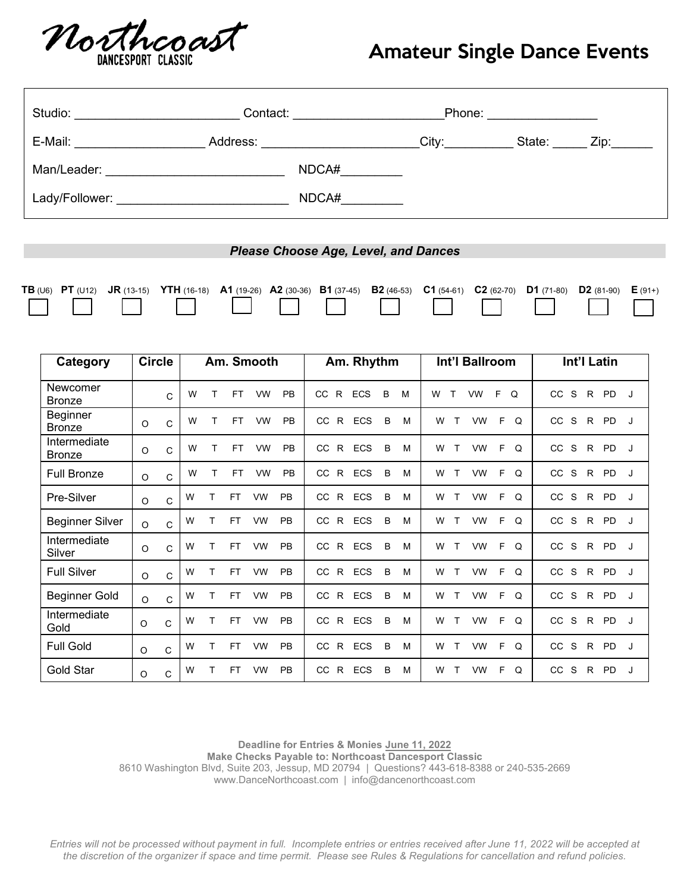

## Amateur Single Dance Events

| Studio: <u>____________________</u>                                                                                                     |  |  |  | <b>Phone:</b> The contract of the contract of the contract of the contract of the contract of the contract of the contract of the contract of the contract of the contract of the contract of the contract of the contract of the c |  |  |  |  |  |  |  |  |
|-----------------------------------------------------------------------------------------------------------------------------------------|--|--|--|-------------------------------------------------------------------------------------------------------------------------------------------------------------------------------------------------------------------------------------|--|--|--|--|--|--|--|--|
| E-Mail: Zip: Zip: Address: City: City: State: Zip:                                                                                      |  |  |  |                                                                                                                                                                                                                                     |  |  |  |  |  |  |  |  |
|                                                                                                                                         |  |  |  | $NDCA\#$                                                                                                                                                                                                                            |  |  |  |  |  |  |  |  |
| Lady/Follower: _________________________________                                                                                        |  |  |  | NDCA#                                                                                                                                                                                                                               |  |  |  |  |  |  |  |  |
|                                                                                                                                         |  |  |  |                                                                                                                                                                                                                                     |  |  |  |  |  |  |  |  |
| <b>Please Choose Age, Level, and Dances</b>                                                                                             |  |  |  |                                                                                                                                                                                                                                     |  |  |  |  |  |  |  |  |
| TB (U6) PT (U12) JR (13-15) YTH (16-18) A1 (19-26) A2 (30-36) B1 (37-45) B2 (46-53) C1 (54-61) C2 (62-70) D1 (71-80) D2 (81-90) E (91+) |  |  |  |                                                                                                                                                                                                                                     |  |  |  |  |  |  |  |  |

| Category                      | <b>Circle</b> |              | Am. Smooth |   |           | Am. Rhythm |           |                           |            | Int'l Ballroom | Int'l Latin |                                                  |                                            |
|-------------------------------|---------------|--------------|------------|---|-----------|------------|-----------|---------------------------|------------|----------------|-------------|--------------------------------------------------|--------------------------------------------|
| Newcomer<br><b>Bronze</b>     |               | $\mathsf{C}$ | W          |   | <b>FT</b> | <b>VW</b>  | PB        | $\mathsf{R}$<br><b>CC</b> | <b>ECS</b> | B              | M           | F.<br>$\Omega$<br>$\mathsf{T}$<br><b>VW</b><br>W | CC<br>S<br><b>PD</b><br>R.<br>J            |
| Beginner<br><b>Bronze</b>     | $\circ$       | C            | W          |   | <b>FT</b> | <b>VW</b>  | PB        | CC.<br>$\mathsf{R}$       | <b>ECS</b> | B              | M           | E<br>W<br>VW<br>$\Omega$                         | CC<br>S<br><b>PD</b><br>R.<br>J            |
| Intermediate<br><b>Bronze</b> | O             | C            | W          | т | <b>FT</b> | <b>VW</b>  | PB        | $\mathsf{R}$<br>CC        | ECS        | B              | M           | F<br><b>VW</b><br>$\Omega$<br>W<br>т             | CC<br>S<br><b>PD</b><br>R.<br>J            |
| <b>Full Bronze</b>            | $\circ$       | $\mathsf{C}$ | W          |   | <b>FT</b> | <b>VW</b>  | PB        | CC.<br>R.                 | ECS        | B              | M           | <b>VW</b><br>E<br>W<br>т<br>$\Omega$             | CC<br>S<br>R<br><b>PD</b><br>J             |
| Pre-Silver                    | $\circ$       | $\mathsf{C}$ | W          | т | <b>FT</b> | <b>VW</b>  | PB        | $\mathsf{R}$<br>CC.       | <b>ECS</b> | $\overline{B}$ | M           | F.<br>T<br><b>VW</b><br>$\Omega$<br>W            | cc<br>S.<br>$R_{\parallel}$<br>PD<br>J     |
| <b>Beginner Silver</b>        | $\circ$       | $\mathsf{C}$ | W          | т | <b>FT</b> | <b>VW</b>  | PB        | $\mathsf{R}$<br>CC.       | <b>ECS</b> | B              | M           | <b>VW</b><br>F<br>Q<br>W<br>т                    | CC<br>S<br>R<br><b>PD</b><br>J             |
| Intermediate<br>Silver        | $\circ$       | C            | W          | т | <b>FT</b> | <b>VW</b>  | <b>PB</b> | $R_{\parallel}$<br>CC.    | ECS        | B              | M           | <b>VW</b><br>F<br>W<br>$\mathsf{T}$<br>Q         | CC.<br>S<br>R<br><b>PD</b><br>J            |
| <b>Full Silver</b>            | $\circ$       | $\mathsf{C}$ | W          | т | <b>FT</b> | <b>VW</b>  | <b>PB</b> | CC.<br>$\mathsf{R}$       | ECS        | B              | M           | <b>VW</b><br>F.<br>$\Omega$<br>W<br>т            | CC<br>S.<br>$\mathsf{R}$<br><b>PD</b><br>J |
| <b>Beginner Gold</b>          | $\circ$       | C            | W          | Т | <b>FT</b> | <b>VW</b>  | PB        | $\mathsf{R}$<br>CC.       | <b>ECS</b> | B              | M           | F<br><b>VW</b><br>Q<br>W<br>T                    | CC<br>S<br>R.<br><b>PD</b><br>J            |
| Intermediate<br>Gold          | O             | $\mathsf{C}$ | W          |   | <b>FT</b> | <b>VW</b>  | PB        | $\mathsf{R}$<br>CC        | <b>ECS</b> | B              | M           | <b>VW</b><br>F<br>$\Omega$<br>W<br>т             | CC<br>S<br>R.<br><b>PD</b><br>J            |
| <b>Full Gold</b>              | $\circ$       | $\mathsf{C}$ | W          | т | <b>FT</b> | <b>VW</b>  | PB        | CC<br>$\mathsf{R}$        | ECS        | B              | M           | $\Omega$<br>F.<br>W<br><b>VW</b><br>$\mathsf{T}$ | CC<br>S<br><b>PD</b><br>R.<br>J            |
| Gold Star                     | $\circ$       | $\mathsf{C}$ | W          | т | <b>FT</b> | <b>VW</b>  | PB        | CC<br>R.                  | ECS        | B              | M           | Q<br><b>VW</b><br>F<br>W<br>т                    | <b>CC</b><br>S<br><b>PD</b><br>R.<br>J     |

**Deadline for Entries & Monies June 11, 2022 Make Checks Payable to: Northcoast Dancesport Classic** 8610 Washington Blvd, Suite 203, Jessup, MD 20794 | Questions? 443-618-8388 or 240-535-2669 www.DanceNorthcoast.com | info@dancenorthcoast.com

*Entries will not be processed without payment in full. Incomplete entries or entries received after June 11, 2022 will be accepted at the discretion of the organizer if space and time permit. Please see Rules & Regulations for cancellation and refund policies.*